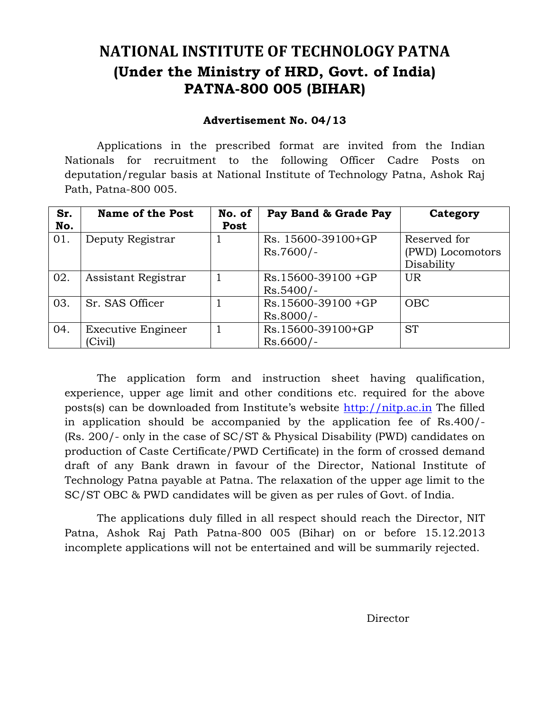# **NATIONAL INSTITUTE OF TECHNOLOGY PATNA (Under the Ministry of HRD, Govt. of India) PATNA-800 005 (BIHAR)**

## **Advertisement No. 04/13**

Applications in the prescribed format are invited from the Indian Nationals for recruitment to the following Officer Cadre Posts on deputation/regular basis at National Institute of Technology Patna, Ashok Raj Path, Patna-800 005.

| Sr. | <b>Name of the Post</b>   | No. of | Pay Band & Grade Pay | Category         |
|-----|---------------------------|--------|----------------------|------------------|
| No. |                           | Post   |                      |                  |
| 01. | Deputy Registrar          |        | Rs. 15600-39100+GP   | Reserved for     |
|     |                           |        | $Rs.7600/-$          | (PWD) Locomotors |
|     |                           |        |                      | Disability       |
| 02. | Assistant Registrar       |        | $Rs.15600-39100+GP$  | UR               |
|     |                           |        | $Rs.5400/-$          |                  |
| 03. | Sr. SAS Officer           |        | Rs.15600-39100 +GP   | <b>OBC</b>       |
|     |                           |        | $Rs.8000/-$          |                  |
| 04. | <b>Executive Engineer</b> |        | Rs.15600-39100+GP    | <b>ST</b>        |
|     | Civil)                    |        | $Rs.6600/-$          |                  |

The application form and instruction sheet having qualification, experience, upper age limit and other conditions etc. required for the above posts(s) can be downloaded from Institute's website [http://nitp.ac.in](http://nitp.ac.in/) The filled in application should be accompanied by the application fee of Rs.400/- (Rs. 200/- only in the case of SC/ST & Physical Disability (PWD) candidates on production of Caste Certificate/PWD Certificate) in the form of crossed demand draft of any Bank drawn in favour of the Director, National Institute of Technology Patna payable at Patna. The relaxation of the upper age limit to the SC/ST OBC & PWD candidates will be given as per rules of Govt. of India.

The applications duly filled in all respect should reach the Director, NIT Patna, Ashok Raj Path Patna-800 005 (Bihar) on or before 15.12.2013 incomplete applications will not be entertained and will be summarily rejected.

Director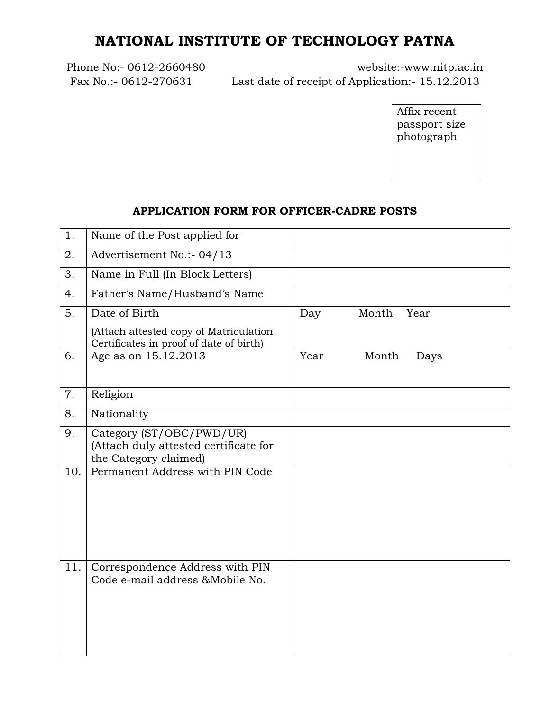# **NATIONAL INSTITUTE OF TECHNOLOGY PATNA**

Phone No:- 0612-2660480 website:-www.nitp.ac.in Fax No.:- 0612-270631 Last date of receipt of Application:- 15.12.2013

> Affix recent passport size photograph

## **APPLICATION FORM FOR OFFICER-CADRE POSTS**

| 1.  | Name of the Post applied for                                                               |      |               |
|-----|--------------------------------------------------------------------------------------------|------|---------------|
| 2.  | Advertisement No.:- 04/13                                                                  |      |               |
| 3.  | Name in Full (In Block Letters)                                                            |      |               |
| 4.  | Father's Name/Husband's Name                                                               |      |               |
| 5.  | Date of Birth                                                                              | Day  | Month<br>Year |
|     | (Attach attested copy of Matriculation<br>Certificates in proof of date of birth)          |      |               |
| 6.  | Age as on 15.12.2013                                                                       | Year | Month<br>Days |
| 7.  | Religion                                                                                   |      |               |
| 8.  | Nationality                                                                                |      |               |
| 9.  | Category (ST/OBC/PWD/UR)<br>(Attach duly attested certificate for<br>the Category claimed) |      |               |
| 10. | Permanent Address with PIN Code                                                            |      |               |
| 11. | Correspondence Address with PIN<br>Code e-mail address & Mobile No.                        |      |               |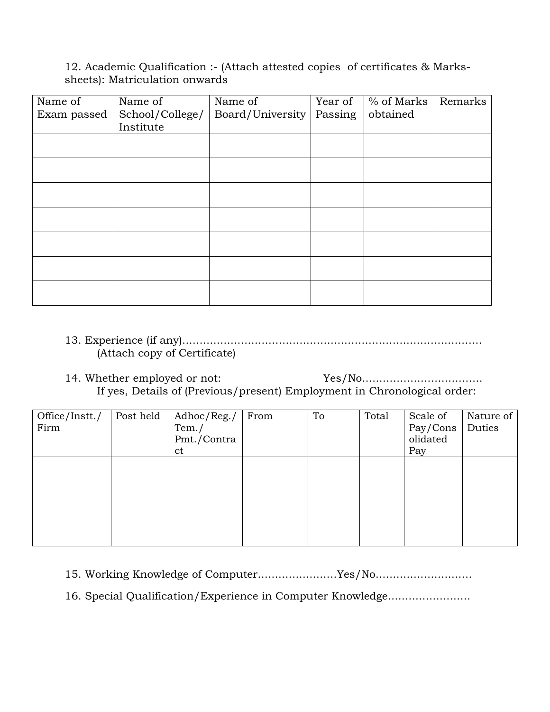12. Academic Qualification :- (Attach attested copies of certificates & Markssheets): Matriculation onwards

| Name of     | Name of         | Name of          | Year of | % of Marks | Remarks |
|-------------|-----------------|------------------|---------|------------|---------|
| Exam passed | School/College/ | Board/University | Passing | obtained   |         |
|             | Institute       |                  |         |            |         |
|             |                 |                  |         |            |         |
|             |                 |                  |         |            |         |
|             |                 |                  |         |            |         |
|             |                 |                  |         |            |         |
|             |                 |                  |         |            |         |
|             |                 |                  |         |            |         |
|             |                 |                  |         |            |         |
|             |                 |                  |         |            |         |
|             |                 |                  |         |            |         |
|             |                 |                  |         |            |         |
|             |                 |                  |         |            |         |
|             |                 |                  |         |            |         |
|             |                 |                  |         |            |         |

## 13. Experience (if any)....................................................................................... (Attach copy of Certificate)

14. Whether employed or not: Yes/No................................... If yes, Details of (Previous/present) Employment in Chronological order:

| Post held | Adhoc/Reg./ | From | To | Total | Scale of | Nature of |
|-----------|-------------|------|----|-------|----------|-----------|
|           | Tem. /      |      |    |       |          | Duties    |
|           | Pmt./Contra |      |    |       | olidated |           |
|           | ct          |      |    |       | Pay      |           |
|           |             |      |    |       |          |           |
|           |             |      |    |       |          |           |
|           |             |      |    |       |          |           |
|           |             |      |    |       |          |           |
|           |             |      |    |       |          |           |
|           |             |      |    |       |          |           |
|           |             |      |    |       |          |           |
|           |             |      |    |       |          | Pay/Cons  |

15. Working Knowledge of Computer.......................Yes/No............................

16. Special Qualification/Experience in Computer Knowledge........................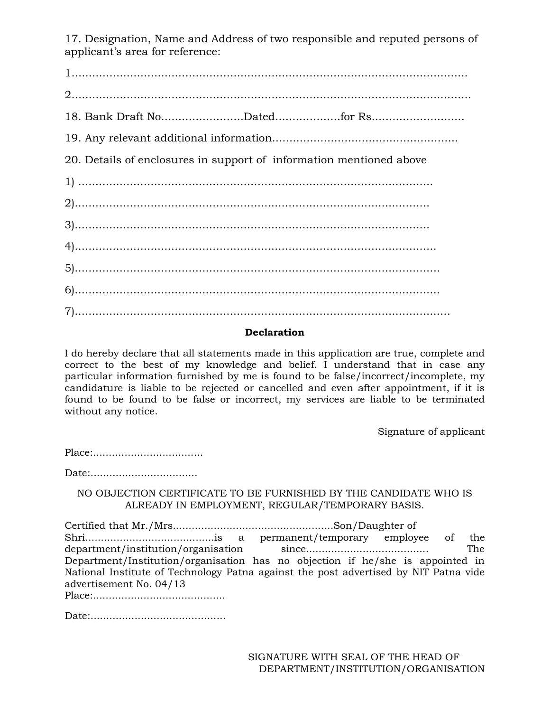17. Designation, Name and Address of two responsible and reputed persons of applicant's area for reference:

18. Bank Draft No...........................Dated.......................for Rs............................... 20. Details of enclosures in support of information mentioned above 

### **Declaration**

I do hereby declare that all statements made in this application are true, complete and correct to the best of my knowledge and belief. I understand that in case any particular information furnished by me is found to be false/incorrect/incomplete, my candidature is liable to be rejected or cancelled and even after appointment, if it is found to be found to be false or incorrect, my services are liable to be terminated without any notice.

Signature of applicant

NO OBJECTION CERTIFICATE TO BE FURNISHED BY THE CANDIDATE WHO IS ALREADY IN EMPLOYMENT, REGULAR/TEMPORARY BASIS.

of the National Institute of Technology Patna against the post advertised by NIT Patna vide advertisement No. 04/13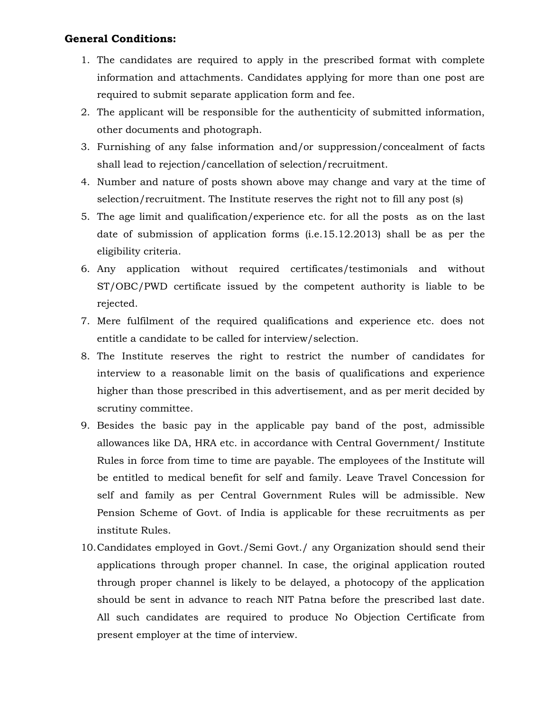## **General Conditions:**

- 1. The candidates are required to apply in the prescribed format with complete information and attachments. Candidates applying for more than one post are required to submit separate application form and fee.
- 2. The applicant will be responsible for the authenticity of submitted information, other documents and photograph.
- 3. Furnishing of any false information and/or suppression/concealment of facts shall lead to rejection/cancellation of selection/recruitment.
- 4. Number and nature of posts shown above may change and vary at the time of selection/recruitment. The Institute reserves the right not to fill any post (s)
- 5. The age limit and qualification/experience etc. for all the posts as on the last date of submission of application forms (i.e.15.12.2013) shall be as per the eligibility criteria.
- 6. Any application without required certificates/testimonials and without ST/OBC/PWD certificate issued by the competent authority is liable to be rejected.
- 7. Mere fulfilment of the required qualifications and experience etc. does not entitle a candidate to be called for interview/selection.
- 8. The Institute reserves the right to restrict the number of candidates for interview to a reasonable limit on the basis of qualifications and experience higher than those prescribed in this advertisement, and as per merit decided by scrutiny committee.
- 9. Besides the basic pay in the applicable pay band of the post, admissible allowances like DA, HRA etc. in accordance with Central Government/ Institute Rules in force from time to time are payable. The employees of the Institute will be entitled to medical benefit for self and family. Leave Travel Concession for self and family as per Central Government Rules will be admissible. New Pension Scheme of Govt. of India is applicable for these recruitments as per institute Rules.
- 10.Candidates employed in Govt./Semi Govt./ any Organization should send their applications through proper channel. In case, the original application routed through proper channel is likely to be delayed, a photocopy of the application should be sent in advance to reach NIT Patna before the prescribed last date. All such candidates are required to produce No Objection Certificate from present employer at the time of interview.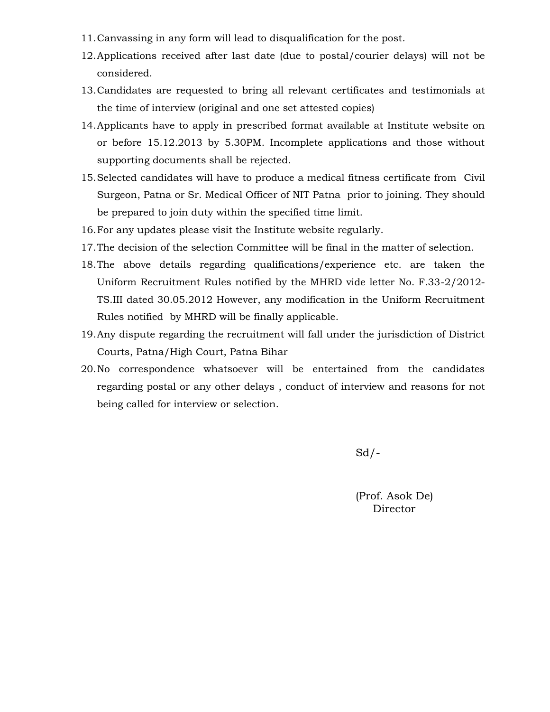- 11.Canvassing in any form will lead to disqualification for the post.
- 12.Applications received after last date (due to postal/courier delays) will not be considered.
- 13.Candidates are requested to bring all relevant certificates and testimonials at the time of interview (original and one set attested copies)
- 14.Applicants have to apply in prescribed format available at Institute website on or before 15.12.2013 by 5.30PM. Incomplete applications and those without supporting documents shall be rejected.
- 15.Selected candidates will have to produce a medical fitness certificate from Civil Surgeon, Patna or Sr. Medical Officer of NIT Patna prior to joining. They should be prepared to join duty within the specified time limit.
- 16.For any updates please visit the Institute website regularly.
- 17.The decision of the selection Committee will be final in the matter of selection.
- 18.The above details regarding qualifications/experience etc. are taken the Uniform Recruitment Rules notified by the MHRD vide letter No. F.33-2/2012- TS.III dated 30.05.2012 However, any modification in the Uniform Recruitment Rules notified by MHRD will be finally applicable.
- 19.Any dispute regarding the recruitment will fall under the jurisdiction of District Courts, Patna/High Court, Patna Bihar
- 20.No correspondence whatsoever will be entertained from the candidates regarding postal or any other delays , conduct of interview and reasons for not being called for interview or selection.

 $Sd$  /-

(Prof. Asok De) Director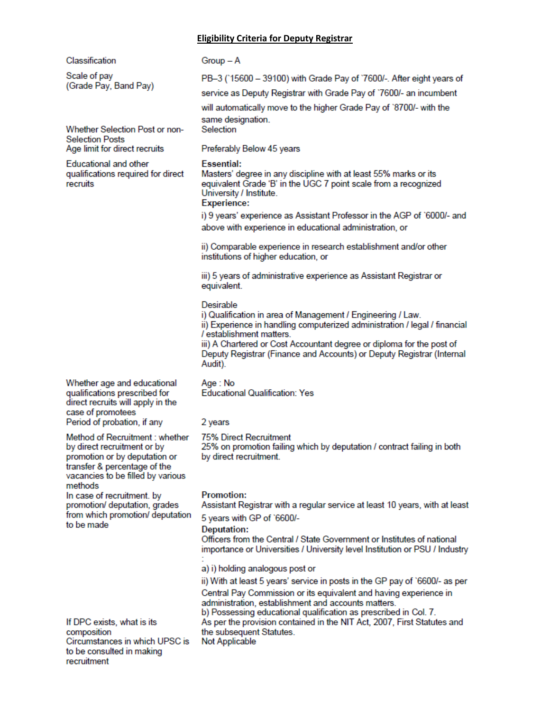#### **Eligibility Criteria for Deputy Registrar**

Classification

Scale of pay (Grade Pay, Band Pay)

Whether Selection Post or non-**Selection Posts** Age limit for direct recruits

**Educational and other** qualifications required for direct recruits

Whether age and educational qualifications prescribed for direct recruits will apply in the case of promotees Period of probation, if any

Method of Recruitment : whether by direct recruitment or by promotion or by deputation or transfer & percentage of the vacancies to be filled by various methods

In case of recruitment, by promotion/ deputation, grades from which promotion/ deputation to be made

If DPC exists, what is its composition Circumstances in which UPSC is to be consulted in making recruitment

 $Group - A$ 

PB-3 (15600 - 39100) with Grade Pay of '7600/-. After eight years of

service as Deputy Registrar with Grade Pay of '7600/- an incumbent

will automatically move to the higher Grade Pay of `8700/- with the same designation.

Selection

Preferably Below 45 years

#### **Essential:**

Masters' degree in any discipline with at least 55% marks or its equivalent Grade 'B' in the UGC 7 point scale from a recognized University / Institute.

#### Experience:

i) 9 years' experience as Assistant Professor in the AGP of `6000/- and above with experience in educational administration, or

ii) Comparable experience in research establishment and/or other institutions of higher education, or

iii) 5 years of administrative experience as Assistant Registrar or equivalent.

#### Desirable

i) Qualification in area of Management / Engineering / Law. ii) Experience in handling computerized administration / legal / financial / establishment matters.

iii) A Chartered or Cost Accountant degree or diploma for the post of Deputy Registrar (Finance and Accounts) or Deputy Registrar (Internal Audit).

Age: No **Educational Qualification: Yes** 

#### 2 years

75% Direct Recruitment 25% on promotion failing which by deputation / contract failing in both by direct recruitment.

#### **Promotion:**

Assistant Registrar with a regular service at least 10 years, with at least

5 years with GP of `6600/-

**Deputation:** 

Officers from the Central / State Government or Institutes of national importance or Universities / University level Institution or PSU / Industry

a) i) holding analogous post or

ii) With at least 5 years' service in posts in the GP pay of `6600/- as per Central Pay Commission or its equivalent and having experience in administration, establishment and accounts matters.

b) Possessing educational qualification as prescribed in Col. 7. As per the provision contained in the NIT Act, 2007, First Statutes and the subsequent Statutes. Not Applicable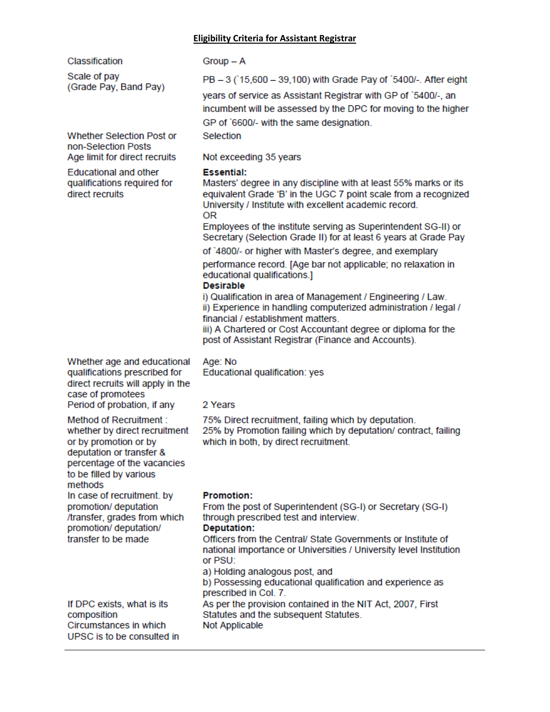#### **Eligibility Criteria for Assistant Registrar**

Classification

Scale of pay (Grade Pay, Band Pay)

Whether Selection Post or non-Selection Posts Age limit for direct recruits

**Educational and other** qualifications required for direct recruits

PB - 3 (15,600 - 39,100) with Grade Pay of '5400/-. After eight

vears of service as Assistant Registrar with GP of `5400/-, an incumbent will be assessed by the DPC for moving to the higher GP of `6600/- with the same designation.

Selection

 $Group - A$ 

Not exceeding 35 years

#### **Essential:**

Masters' degree in any discipline with at least 55% marks or its equivalent Grade 'B' in the UGC 7 point scale from a recognized University / Institute with excellent academic record. 0R

Employees of the institute serving as Superintendent SG-II) or Secretary (Selection Grade II) for at least 6 years at Grade Pay

of `4800/- or higher with Master's degree, and exemplary

performance record. [Age bar not applicable; no relaxation in educational qualifications.]

#### **Desirable**

i) Qualification in area of Management / Engineering / Law. ii) Experience in handling computerized administration / legal / financial / establishment matters.

iii) A Chartered or Cost Accountant degree or diploma for the post of Assistant Registrar (Finance and Accounts).

Whether age and educational qualifications prescribed for direct recruits will apply in the case of promotees Period of probation, if any

Method of Recruitment: whether by direct recruitment or by promotion or by deputation or transfer & percentage of the vacancies to be filled by various methods In case of recruitment, by promotion/ deputation

/transfer, grades from which promotion/ deputation/ transfer to be made

If DPC exists, what is its composition Circumstances in which UPSC is to be consulted in 2 Years

Age: No

75% Direct recruitment, failing which by deputation. 25% by Promotion failing which by deputation/ contract, failing which in both, by direct recruitment.

#### **Promotion:**

From the post of Superintendent (SG-I) or Secretary (SG-I) through prescribed test and interview.

#### **Deputation:**

Officers from the Central/ State Governments or Institute of national importance or Universities / University level Institution or PSU:

a) Holding analogous post, and

Educational qualification: yes

b) Possessing educational qualification and experience as prescribed in Col. 7.

As per the provision contained in the NIT Act, 2007, First Statutes and the subsequent Statutes. Not Applicable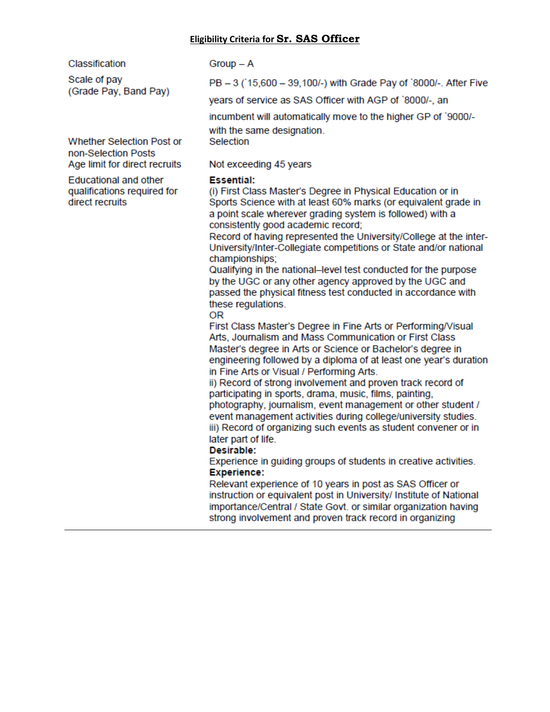#### **Eligibility Criteria for Sr. SAS Officer**

Classification

Scale of pay (Grade Pay, Band Pay)

Whether Selection Post or non-Selection Posts Age limit for direct recruits

**Educational and other** qualifications required for direct recruits

 $Group - A$ 

PB - 3 (15,600 - 39,100/-) with Grade Pay of `8000/-. After Five

years of service as SAS Officer with AGP of `8000/-, an

incumbent will automatically move to the higher GP of `9000/-

with the same designation. Selection

## Not exceeding 45 years

#### **Essential:**

(i) First Class Master's Degree in Physical Education or in Sports Science with at least 60% marks (or equivalent grade in a point scale wherever grading system is followed) with a consistently good academic record;

Record of having represented the University/College at the inter-University/Inter-Collegiate competitions or State and/or national championships:

Qualifying in the national–level test conducted for the purpose by the UGC or any other agency approved by the UGC and passed the physical fitness test conducted in accordance with these regulations.

#### 0R

First Class Master's Degree in Fine Arts or Performing/Visual Arts, Journalism and Mass Communication or First Class Master's degree in Arts or Science or Bachelor's degree in engineering followed by a diploma of at least one year's duration in Fine Arts or Visual / Performing Arts.

ii) Record of strong involvement and proven track record of participating in sports, drama, music, films, painting, photography, journalism, event management or other student / event management activities during college/university studies. iii) Record of organizing such events as student convener or in

#### later part of life. Desirable:

Experience in guiding groups of students in creative activities. **Experience:** 

Relevant experience of 10 years in post as SAS Officer or instruction or equivalent post in University/ Institute of National importance/Central / State Govt. or similar organization having strong involvement and proven track record in organizing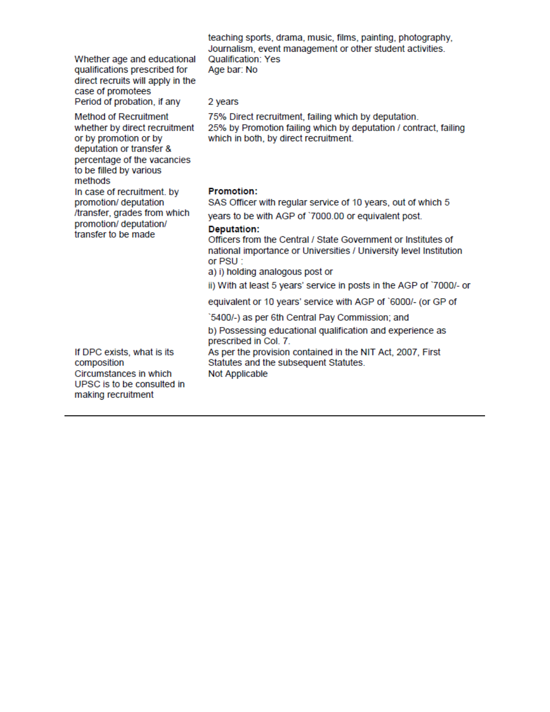teaching sports, drama, music, films, painting, photography, Journalism, event management or other student activities. Whether age and educational Qualification: Yes qualifications prescribed for Age bar: No direct recruits will apply in the case of promotees Period of probation, if any 2 years **Method of Recruitment** 75% Direct recruitment, failing which by deputation. 25% by Promotion failing which by deputation / contract, failing whether by direct recruitment or by promotion or by which in both, by direct recruitment. deputation or transfer & percentage of the vacancies to be filled by various methods In case of recruitment. by **Promotion:** promotion/ deputation SAS Officer with regular service of 10 years, out of which 5 /transfer, grades from which years to be with AGP of `7000.00 or equivalent post. promotion/ deputation/ **Deputation:** transfer to be made Officers from the Central / State Government or Institutes of national importance or Universities / University level Institution or PSU: a) i) holding analogous post or ii) With at least 5 years' service in posts in the AGP of `7000/- or equivalent or 10 years' service with AGP of `6000/- (or GP of '5400/-) as per 6th Central Pay Commission; and b) Possessing educational qualification and experience as prescribed in Col. 7. As per the provision contained in the NIT Act, 2007, First If DPC exists, what is its Statutes and the subsequent Statutes. composition Circumstances in which Not Applicable UPSC is to be consulted in making recruitment